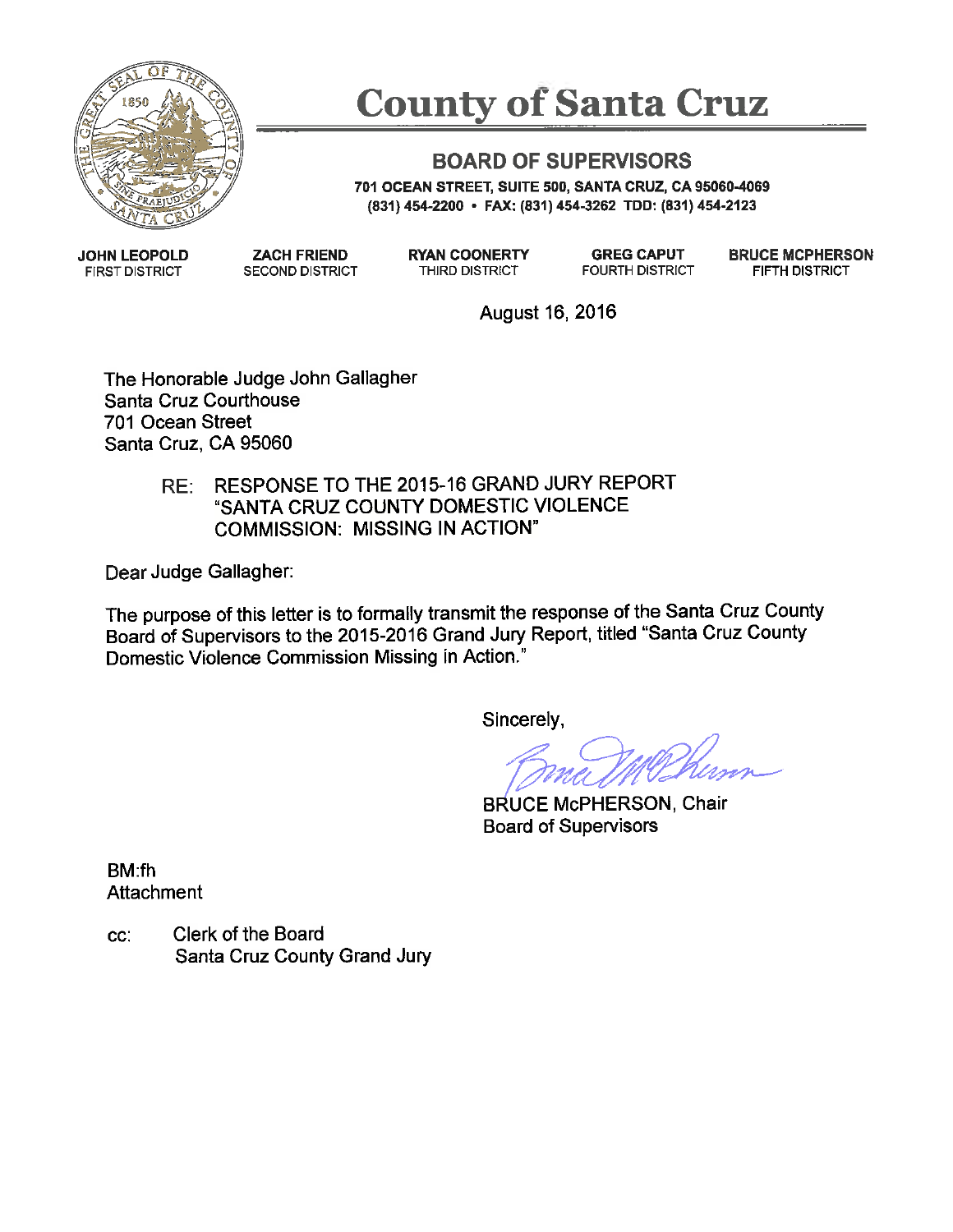

# **County of Santa Cruz**

## **BOARD OF SUPERVISORS**

701 OCEAN STREET, SUITE 500, SANTA CRUZ, CA 95060-4069 (831) 454-2200 • FAX: (831) 454-3262 TDD: (831) 454-2123

**JOHN LEOPOLD FIRST DISTRICT** 

**ZACH FRIEND SECOND DISTRICT**  **RYAN COONERTY** THIRD DISTRICT

**GREG CAPUT FOURTH DISTRICT**  **BRUCE MCPHERSON** FIFTH DISTRICT

August 16, 2016

The Honorable Judge John Gallagher Santa Cruz Courthouse 701 Ocean Street Santa Cruz, CA 95060

> RESPONSE TO THE 2015-16 GRAND JURY REPORT  $RE:$ "SANTA CRUZ COUNTY DOMESTIC VIOLENCE **COMMISSION: MISSING IN ACTION"**

Dear Judge Gallagher:

The purpose of this letter is to formally transmit the response of the Santa Cruz County Board of Supervisors to the 2015-2016 Grand Jury Report, titled "Santa Cruz County Domestic Violence Commission Missing in Action."

Sincerely,

**BRUCE McPHERSON, Chair Board of Supervisors** 

BM fh Attachment

CC. Clerk of the Board Santa Cruz County Grand Jury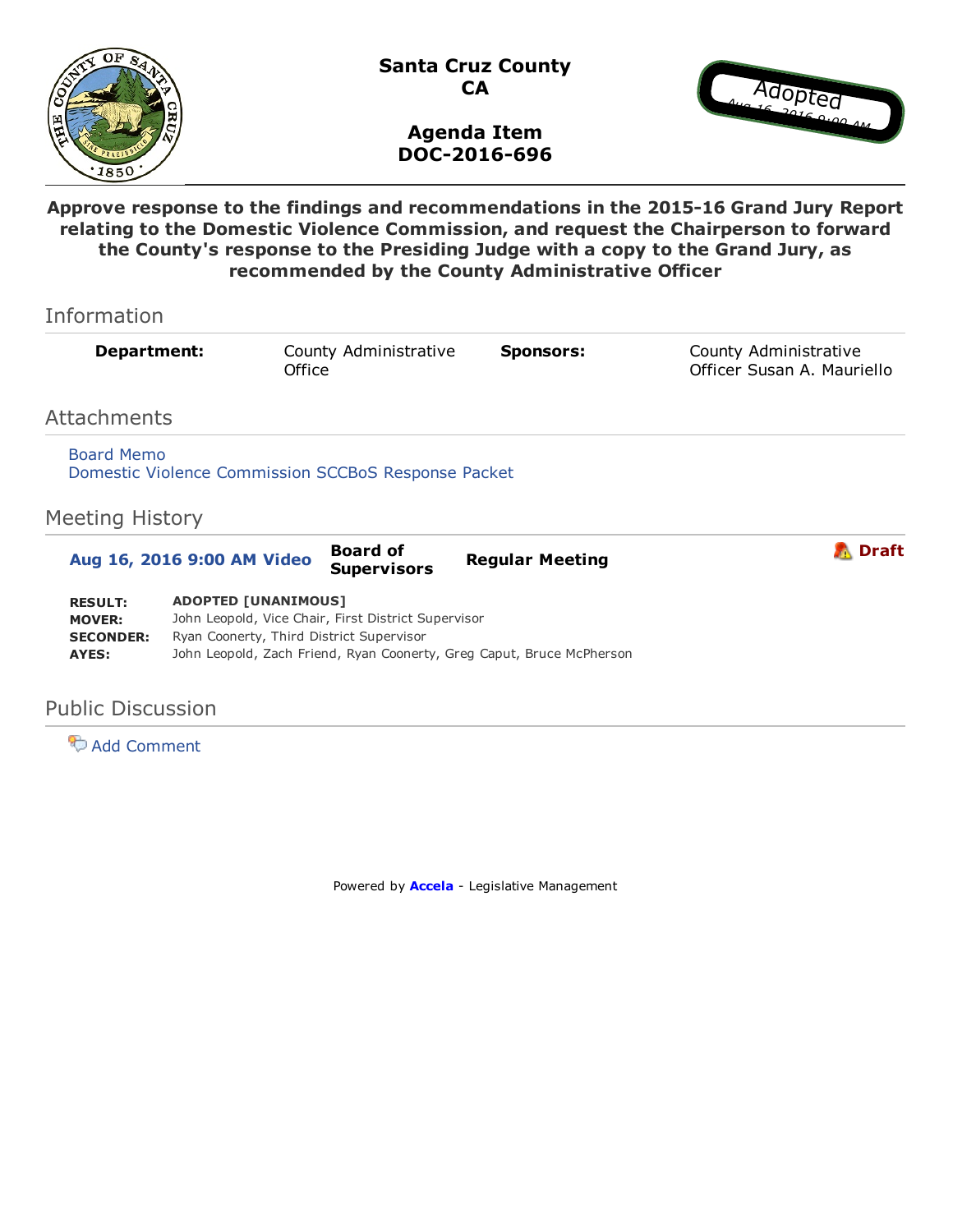

Santa Cruz County **CA** 



#### Agenda Item DOC-2016-696

Approve response to the findings and recommendations in the 2015-16 Grand Jury Report relating to the Domestic Violence Commission, and request the Chairperson to forward the County's response to the Presiding Judge with a copy to the Grand Jury, as recommended by the County Administrative Officer

| Information                                                  |                                                                                                                                                                                                        |                                       |                        |                                                     |
|--------------------------------------------------------------|--------------------------------------------------------------------------------------------------------------------------------------------------------------------------------------------------------|---------------------------------------|------------------------|-----------------------------------------------------|
| Department:                                                  | Office                                                                                                                                                                                                 | County Administrative                 | <b>Sponsors:</b>       | County Administrative<br>Officer Susan A. Mauriello |
| Attachments                                                  |                                                                                                                                                                                                        |                                       |                        |                                                     |
| <b>Board Memo</b><br><b>Meeting History</b>                  | Domestic Violence Commission SCCBoS Response Packet                                                                                                                                                    |                                       |                        |                                                     |
| Aug 16, 2016 9:00 AM Video                                   |                                                                                                                                                                                                        | <b>Board of</b><br><b>Supervisors</b> | <b>Regular Meeting</b> | <b>Draft</b>                                        |
| <b>RESULT:</b><br><b>MOVER:</b><br><b>SECONDER:</b><br>AYES: | <b>ADOPTED [UNANIMOUS]</b><br>John Leopold, Vice Chair, First District Supervisor<br>Ryan Coonerty, Third District Supervisor<br>John Leopold, Zach Friend, Ryan Coonerty, Greg Caput, Bruce McPherson |                                       |                        |                                                     |

#### Public Discussion

**Add Comment** 

Powered by **[Accela](http://www.iqm2.com/)** - Legislative Management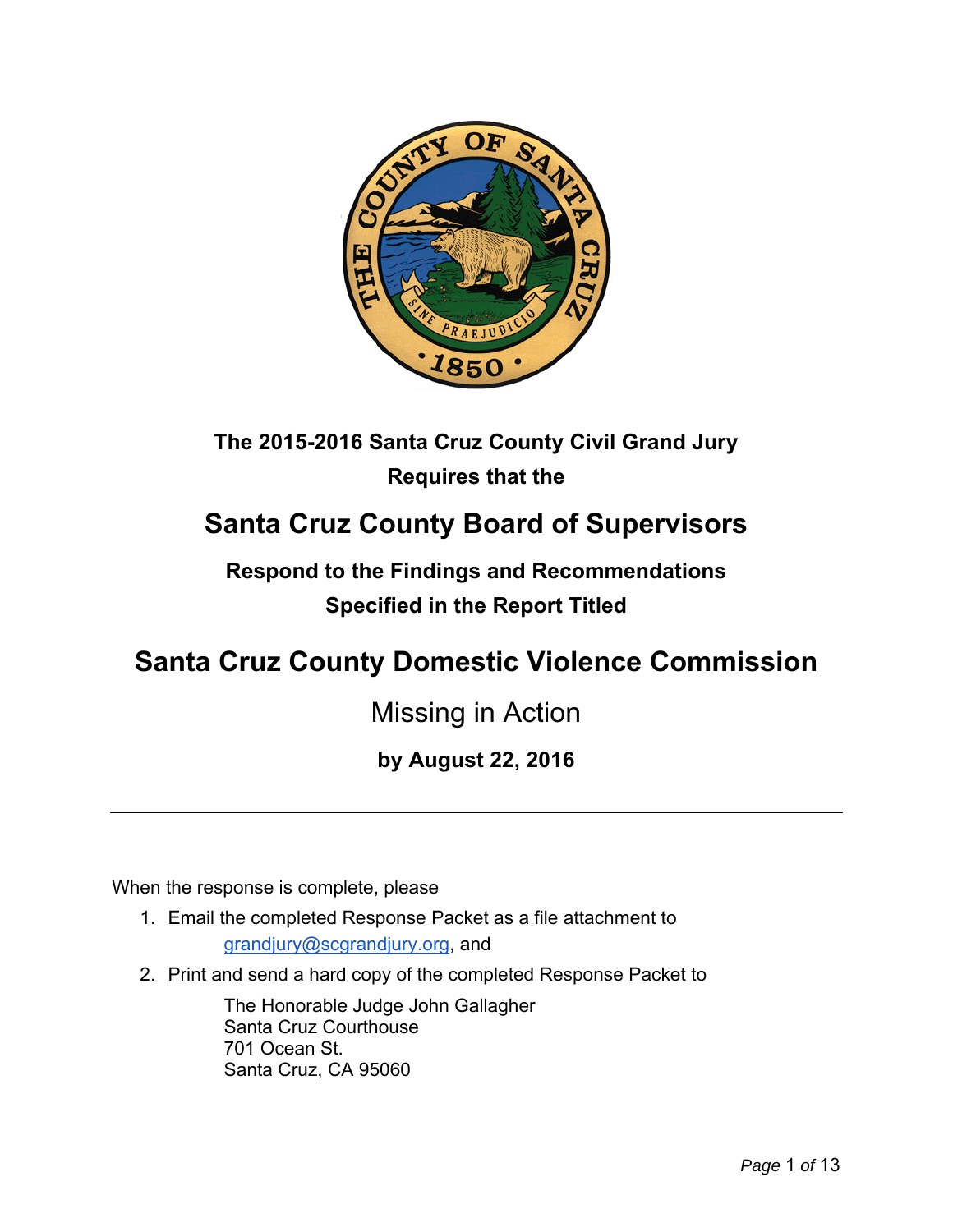

## **The 2015-2016 Santa Cruz County Civil Grand Jury Requires that the**

## **Santa Cruz County Board of Supervisors**

## **Respond to the Findings and Recommendations Specified in the Report Titled**

## **Santa Cruz County Domestic Violence Commission**

## Missing in Action

## **by August 22, 2016**

When the response is complete, please

1. Email the completed Response Packet as a file attachment to

grandjury@scgrandjury.org, and

2. Print and send a hard copy of the completed Response Packet to

The Honorable Judge John Gallagher Santa Cruz Courthouse 701 Ocean St. Santa Cruz, CA 95060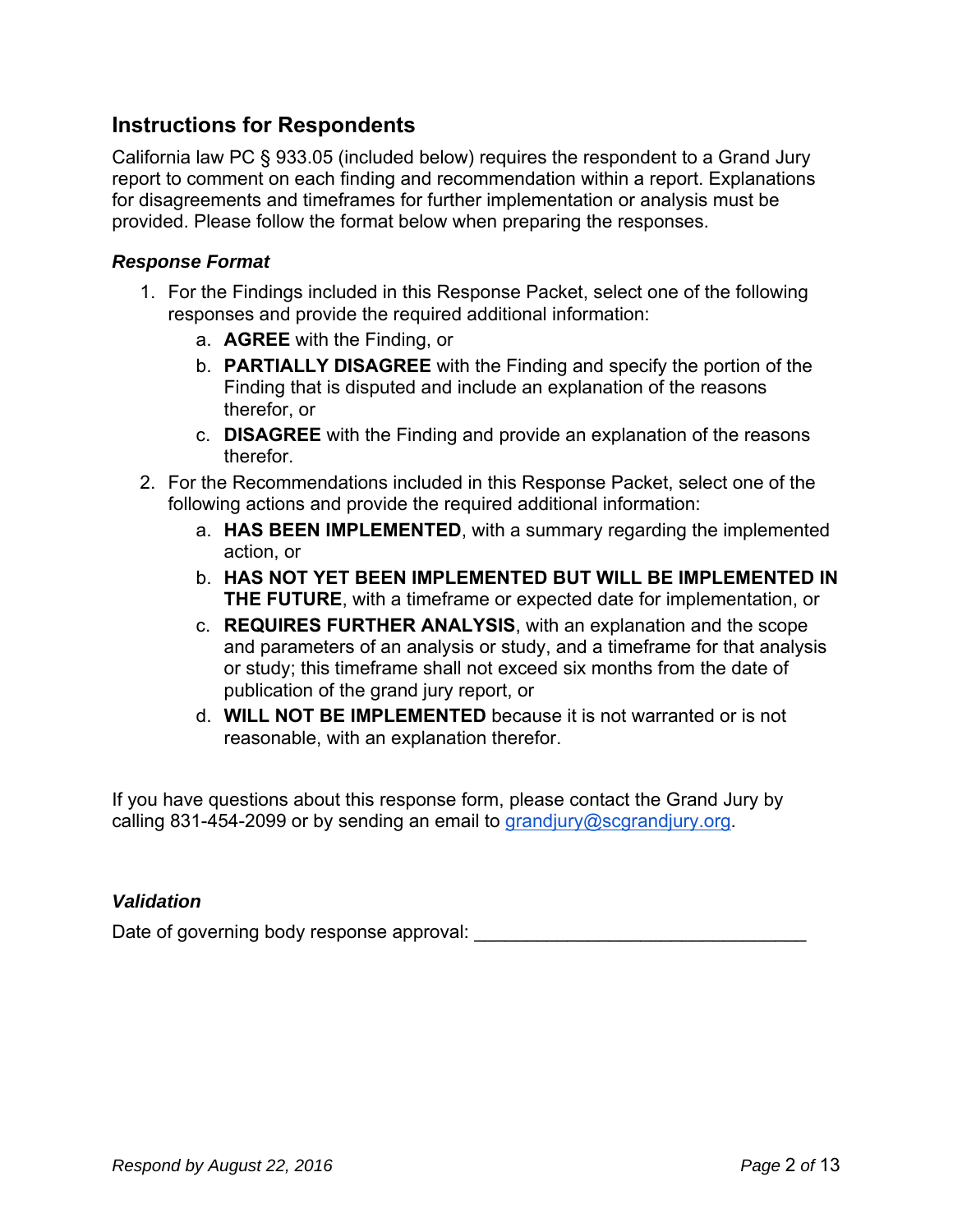### **Instructions for Respondents**

California law PC § 933.05 (included below) requires the respondent to a Grand Jury report to comment on each finding and recommendation within a report. Explanations for disagreements and timeframes for further implementation or analysis must be provided. Please follow the format below when preparing the responses.

#### *Response Format*

- 1. For the Findings included in this Response Packet, select one of the following responses and provide the required additional information:
	- a. **AGREE** with the Finding, or
	- b. **PARTIALLY DISAGREE** with the Finding and specify the portion of the Finding that is disputed and include an explanation of the reasons therefor, or
	- c. **DISAGREE** with the Finding and provide an explanation of the reasons therefor.
- 2. For the Recommendations included in this Response Packet, select one of the following actions and provide the required additional information:
	- a. **HAS BEEN IMPLEMENTED**, with a summary regarding the implemented action, or
	- b. **HAS NOT YET BEEN IMPLEMENTED BUT WILL BE IMPLEMENTED IN THE FUTURE**, with a timeframe or expected date for implementation, or
	- c. **REQUIRES FURTHER ANALYSIS**, with an explanation and the scope and parameters of an analysis or study, and a timeframe for that analysis or study; this timeframe shall not exceed six months from the date of publication of the grand jury report, or
	- d. **WILL NOT BE IMPLEMENTED** because it is not warranted or is not reasonable, with an explanation therefor.

If you have questions about this response form, please contact the Grand Jury by calling 831-454-2099 or by sending an email to grandjury@scgrandjury.org.

#### *Validation*

Date of governing body response approval: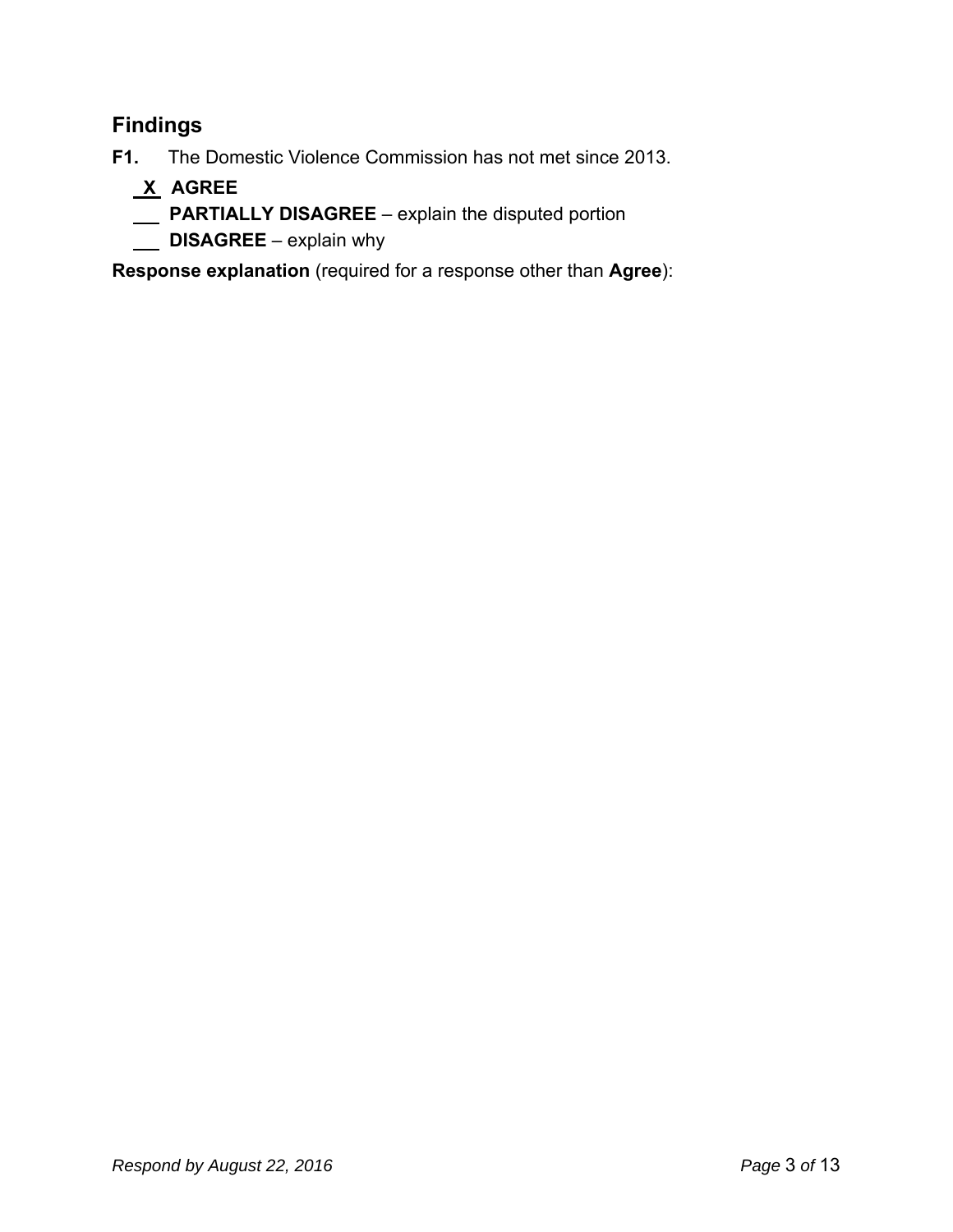## **Findings**

**F1.** The Domestic Violence Commission has not met since 2013.

- **X AGREE**
- **PARTIALLY DISAGREE**  explain the disputed portion
- **DISAGREE** explain why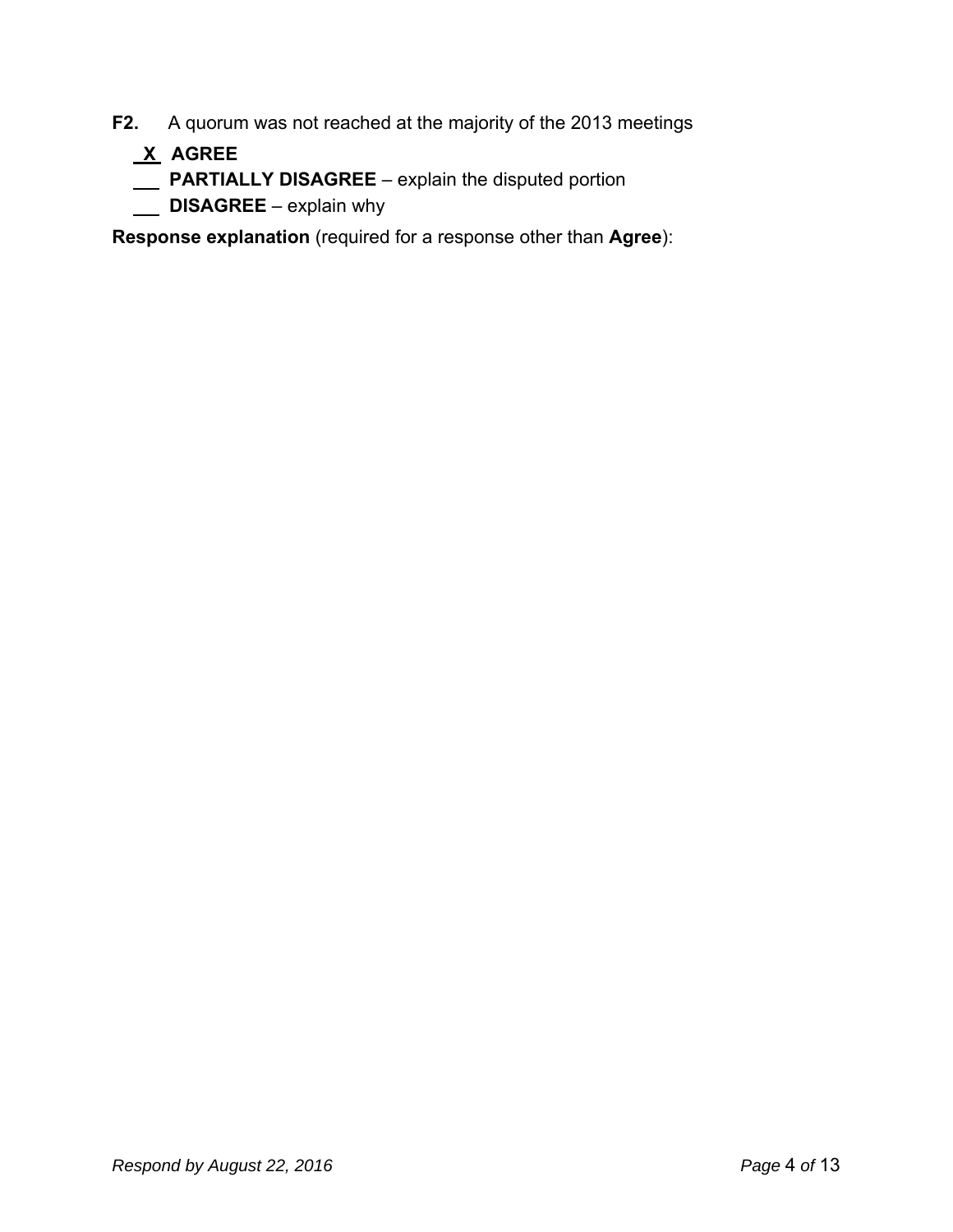- **F2.** A quorum was not reached at the majority of the 2013 meetings
	- **X AGREE**
	- **PARTIALLY DISAGREE** explain the disputed portion
	- **DISAGREE** explain why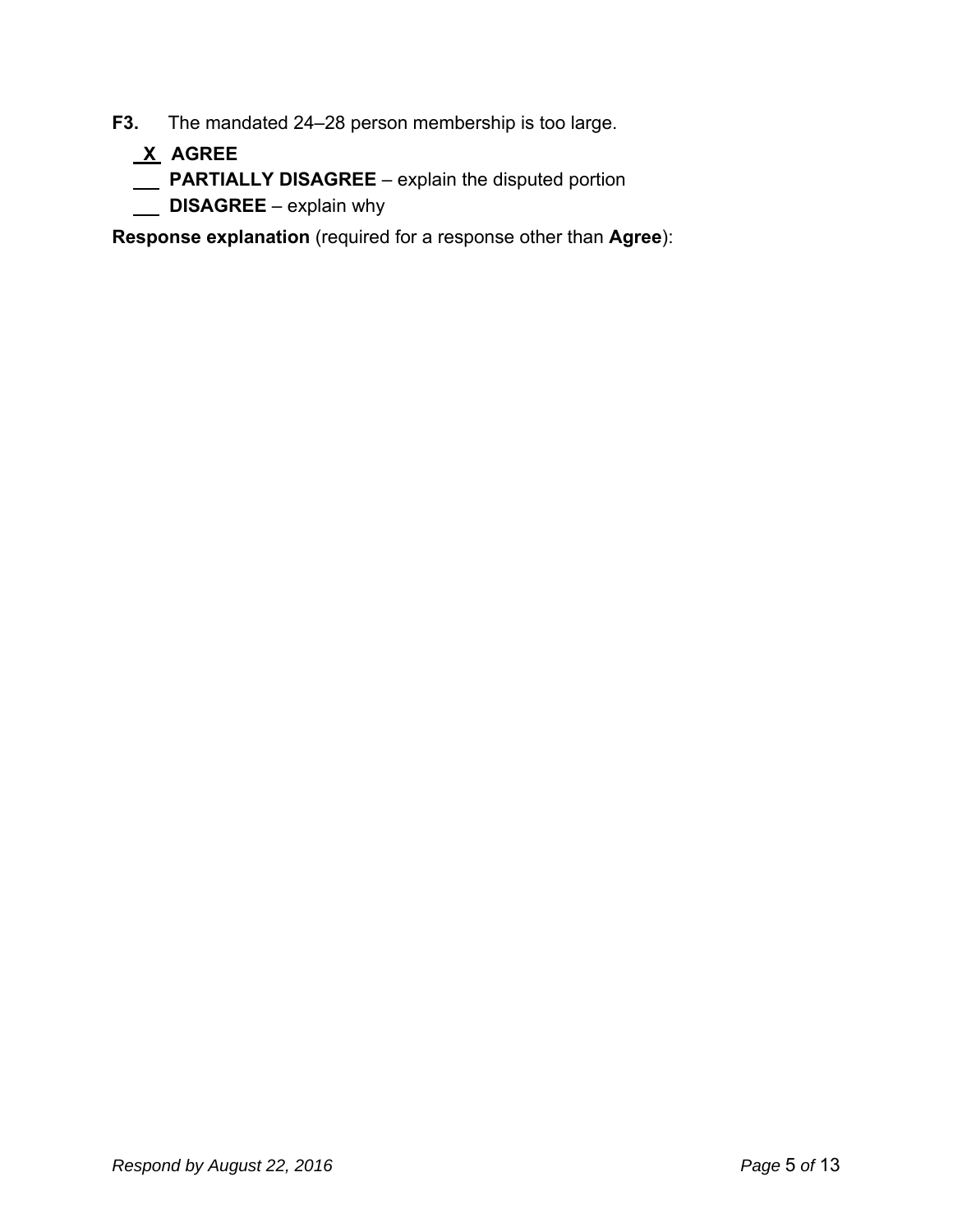- **F3.** The mandated 24–28 person membership is too large.
	- **X AGREE**
	- **PARTIALLY DISAGREE** explain the disputed portion
	- **DISAGREE** explain why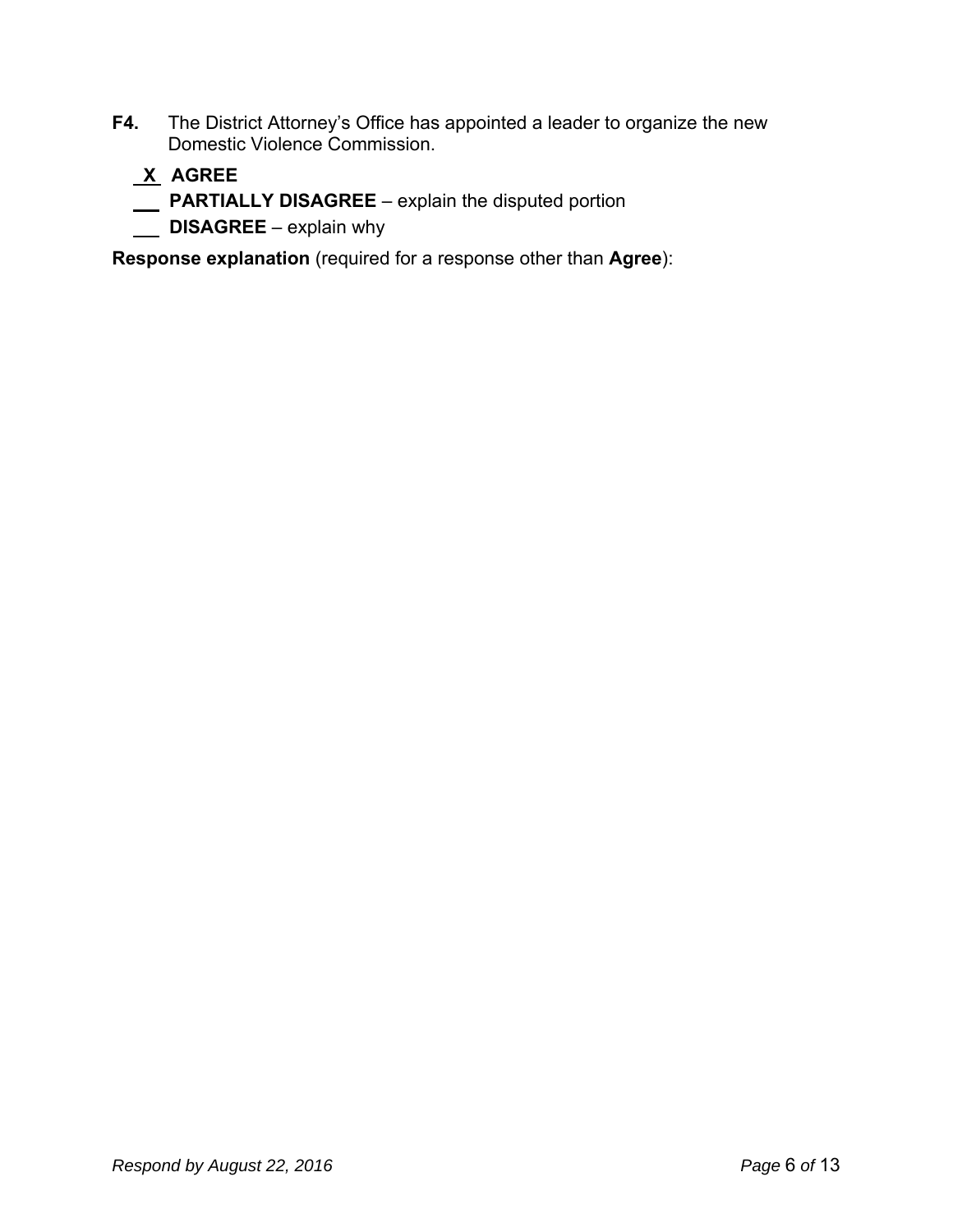**F4.** The District Attorney's Office has appointed a leader to organize the new Domestic Violence Commission.

### **X AGREE**

- **PARTIALLY DISAGREE**  explain the disputed portion
- **DISAGREE** explain why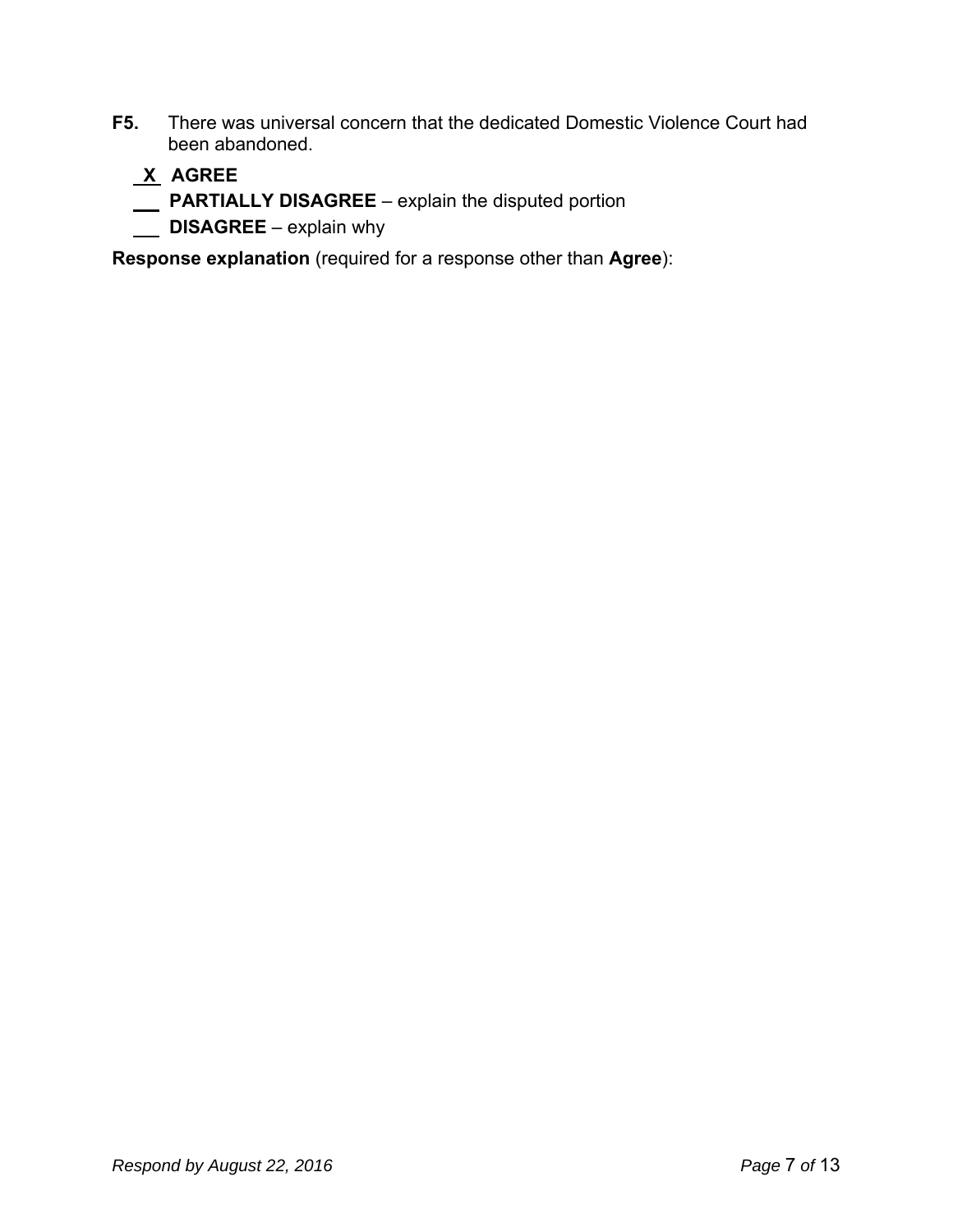**F5.** There was universal concern that the dedicated Domestic Violence Court had been abandoned.

### **X AGREE**

- **PARTIALLY DISAGREE**  explain the disputed portion
- **DISAGREE** explain why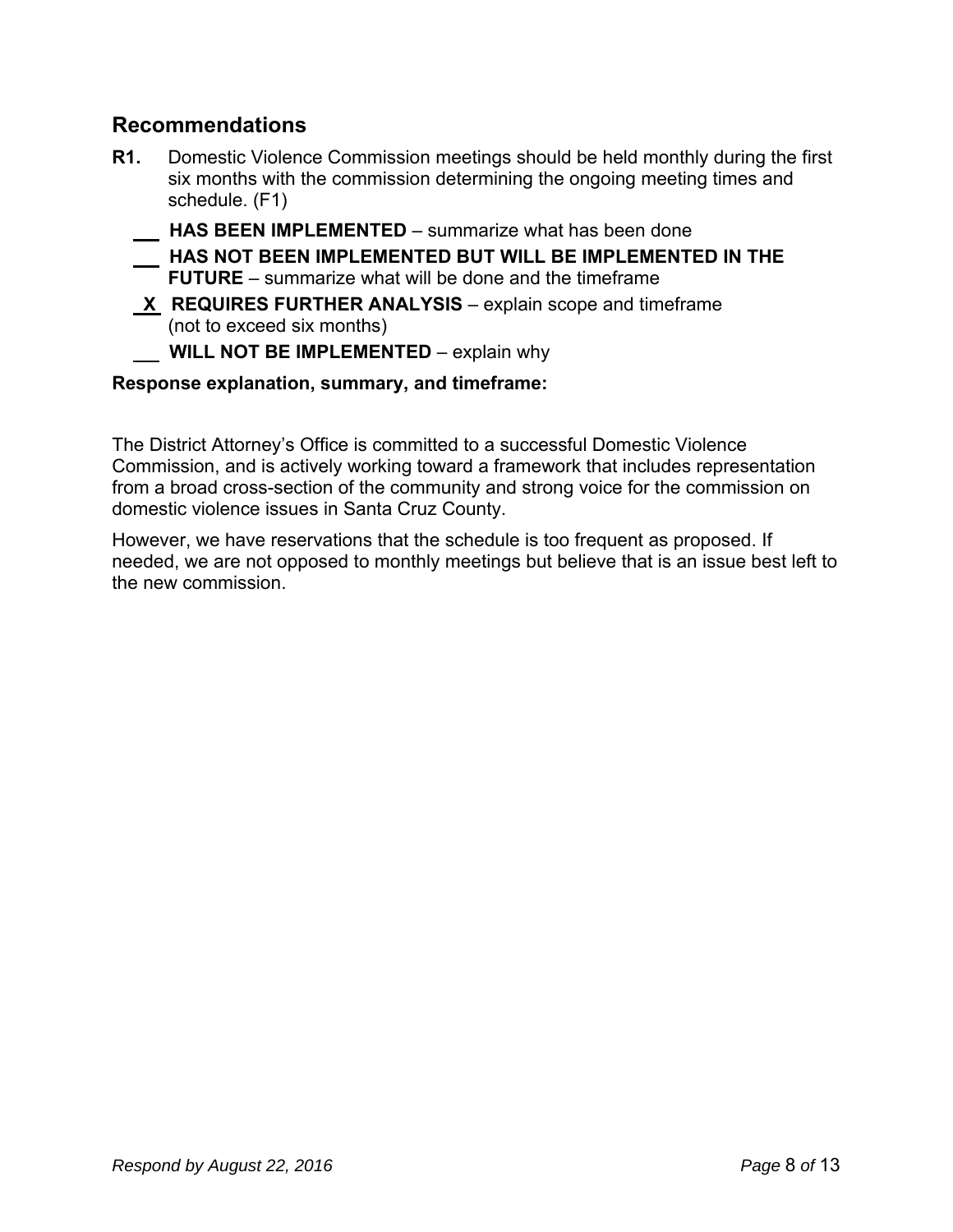### **Recommendations**

- **R1.** Domestic Violence Commission meetings should be held monthly during the first six months with the commission determining the ongoing meeting times and schedule. (F1)
	- **HAS BEEN IMPLEMENTED**  summarize what has been done
	- **HAS NOT BEEN IMPLEMENTED BUT WILL BE IMPLEMENTED IN THE FUTURE** – summarize what will be done and the timeframe
	- **X REQUIRES FURTHER ANALYSIS** explain scope and timeframe (not to exceed six months)
		- **WILL NOT BE IMPLEMENTED** explain why

#### **Response explanation, summary, and timeframe:**

The District Attorney's Office is committed to a successful Domestic Violence Commission, and is actively working toward a framework that includes representation from a broad cross-section of the community and strong voice for the commission on domestic violence issues in Santa Cruz County.

However, we have reservations that the schedule is too frequent as proposed. If needed, we are not opposed to monthly meetings but believe that is an issue best left to the new commission.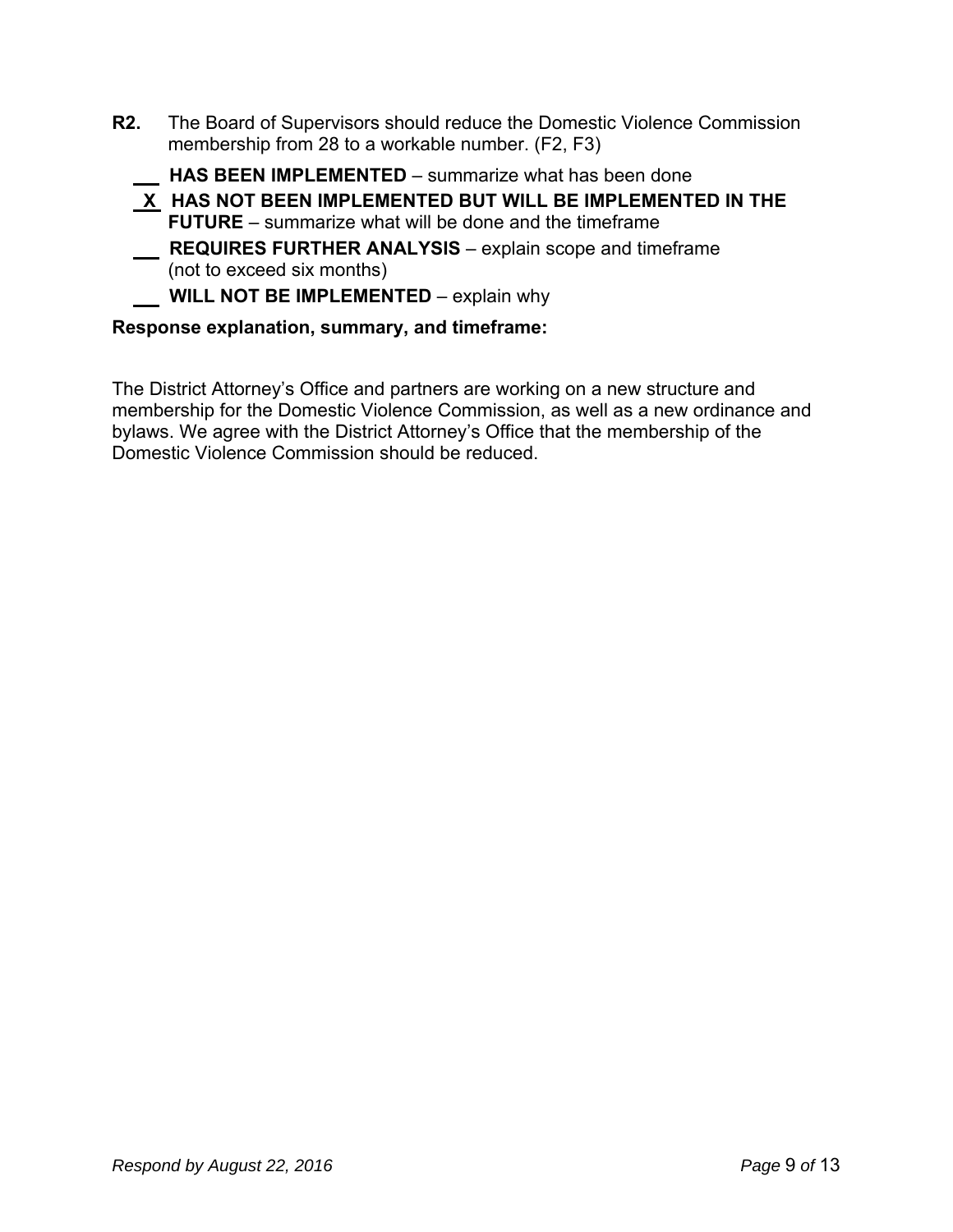**R2.** The Board of Supervisors should reduce the Domestic Violence Commission membership from 28 to a workable number. (F2, F3)

 **HAS BEEN IMPLEMENTED** – summarize what has been done

- **X HAS NOT BEEN IMPLEMENTED BUT WILL BE IMPLEMENTED IN THE FUTURE** – summarize what will be done and the timeframe
- **REQUIRES FURTHER ANALYSIS** explain scope and timeframe (not to exceed six months)

**WILL NOT BE IMPLEMENTED** – explain why

#### **Response explanation, summary, and timeframe:**

The District Attorney's Office and partners are working on a new structure and membership for the Domestic Violence Commission, as well as a new ordinance and bylaws. We agree with the District Attorney's Office that the membership of the Domestic Violence Commission should be reduced.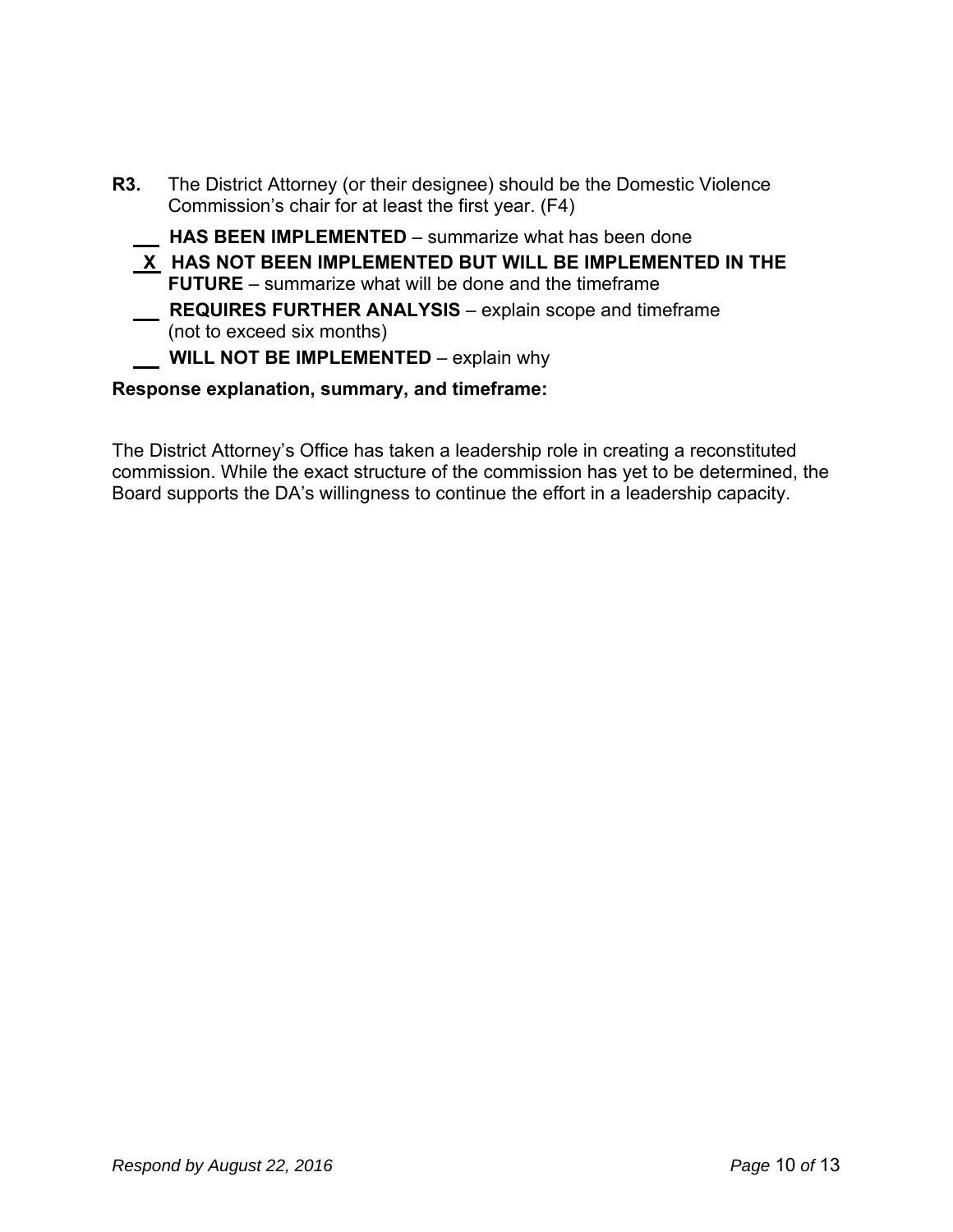| <b>R3.</b> The District Attorney (or their designee) should be the Domestic Violence<br>Commission's chair for at least the first year. (F4) |
|----------------------------------------------------------------------------------------------------------------------------------------------|
| HAS BEEN IMPLEMENTED - summarize what has been done                                                                                          |
| $X$ HAS NOT BEEN IMPLEMENTED BUT WILL BE IMPLEMENTED IN THE<br><b>FUTURE</b> – summarize what will be done and the timeframe                 |
| <b>REQUIRES FURTHER ANALYSIS</b> – explain scope and timeframe<br>(not to exceed six months)                                                 |
| <b>WILL NOT BE IMPLEMENTED</b> – explain why                                                                                                 |

#### **Response explanation, summary, and timeframe:**

The District Attorney's Office has taken a leadership role in creating a reconstituted commission. While the exact structure of the commission has yet to be determined, the Board supports the DA's willingness to continue the effort in a leadership capacity.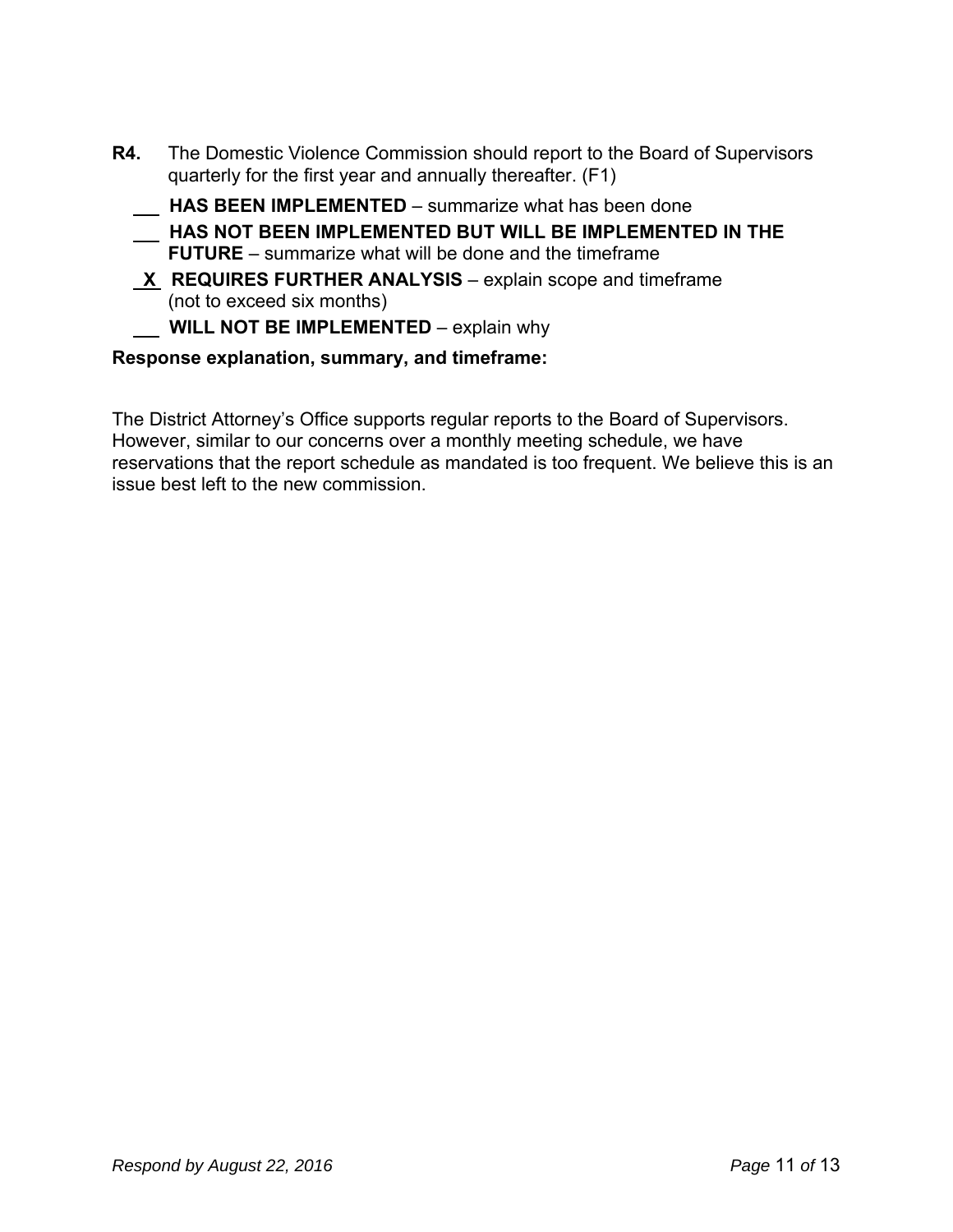- **R4.** The Domestic Violence Commission should report to the Board of Supervisors quarterly for the first year and annually thereafter. (F1)
	- **HAS BEEN IMPLEMENTED**  summarize what has been done
	- **HAS NOT BEEN IMPLEMENTED BUT WILL BE IMPLEMENTED IN THE FUTURE** – summarize what will be done and the timeframe
	- **X REQUIRES FURTHER ANALYSIS** explain scope and timeframe (not to exceed six months)

**WILL NOT BE IMPLEMENTED** – explain why

#### **Response explanation, summary, and timeframe:**

The District Attorney's Office supports regular reports to the Board of Supervisors. However, similar to our concerns over a monthly meeting schedule, we have reservations that the report schedule as mandated is too frequent. We believe this is an issue best left to the new commission.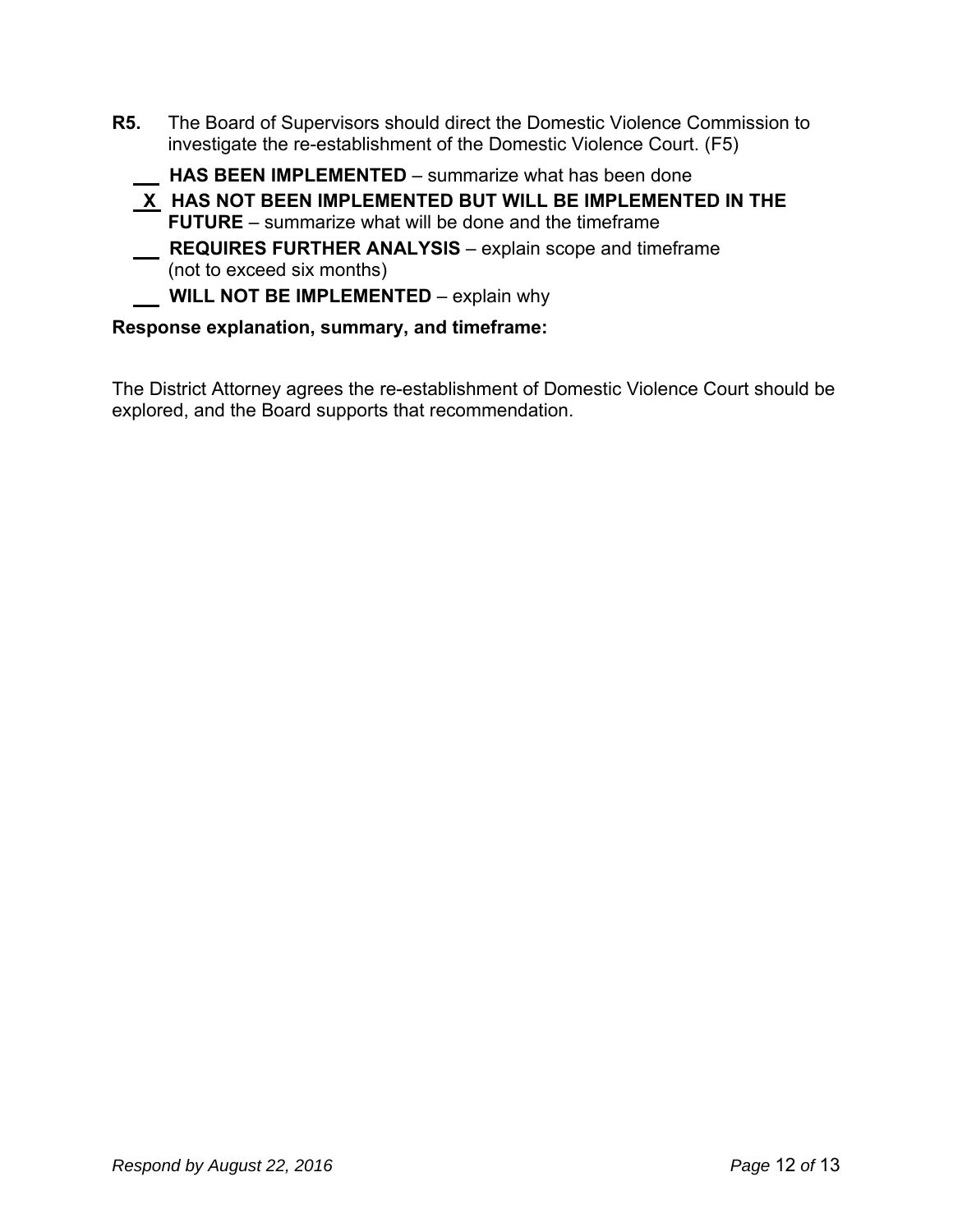**R5.** The Board of Supervisors should direct the Domestic Violence Commission to investigate the re-establishment of the Domestic Violence Court. (F5)

 **HAS BEEN IMPLEMENTED** – summarize what has been done

- **X HAS NOT BEEN IMPLEMENTED BUT WILL BE IMPLEMENTED IN THE FUTURE** – summarize what will be done and the timeframe
- **REQUIRES FURTHER ANALYSIS** explain scope and timeframe (not to exceed six months)

**WILL NOT BE IMPLEMENTED** – explain why

#### **Response explanation, summary, and timeframe:**

The District Attorney agrees the re-establishment of Domestic Violence Court should be explored, and the Board supports that recommendation.